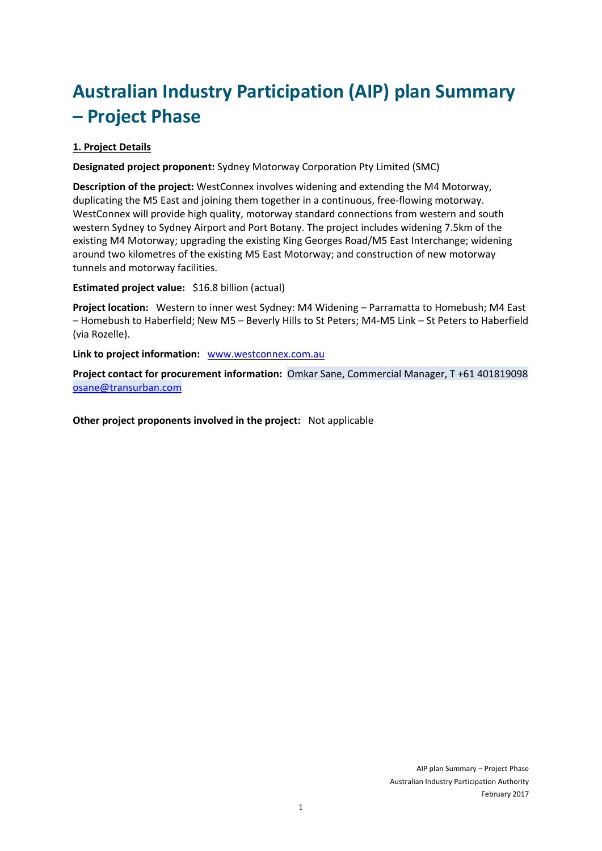# **Australian Industry Participation (AIP) plan Summary – Project Phase**

## **1. Project Details**

**Designated project proponent:** Sydney Motorway Corporation Pty Limited (SMC)

**Description of the project:** WestConnex involves widening and extending the M4 Motorway, duplicating the M5 East and joining them together in a continuous, free-flowing motorway. WestConnex will provide high quality, motorway standard connections from western and south western Sydney to Sydney Airport and Port Botany. The project includes widening 7.5km of the existing M4 Motorway; upgrading the existing King Georges Road/M5 East Interchange; widening around two kilometres of the existing M5 East Motorway; and construction of new motorway tunnels and motorway facilities.

**Estimated project value:** \$16.8 billion (actual)

**Project location:** Western to inner west Sydney: M4 Widening – Parramatta to Homebush; M4 East – Homebush to Haberfield; New M5 – Beverly Hills to St Peters; M4-M5 Link – St Peters to Haberfield (via Rozelle).

**Link to project information:** [www.westconnex.com.au](http://www.westconnex.com.au/index.html)

**Project contact for procurement information:** Omkar Sane, Commercial Manager, T +61 401819098 [osane@transurban.com](mailto:osane@transurban.com)

**Other project proponents involved in the project:** Not applicable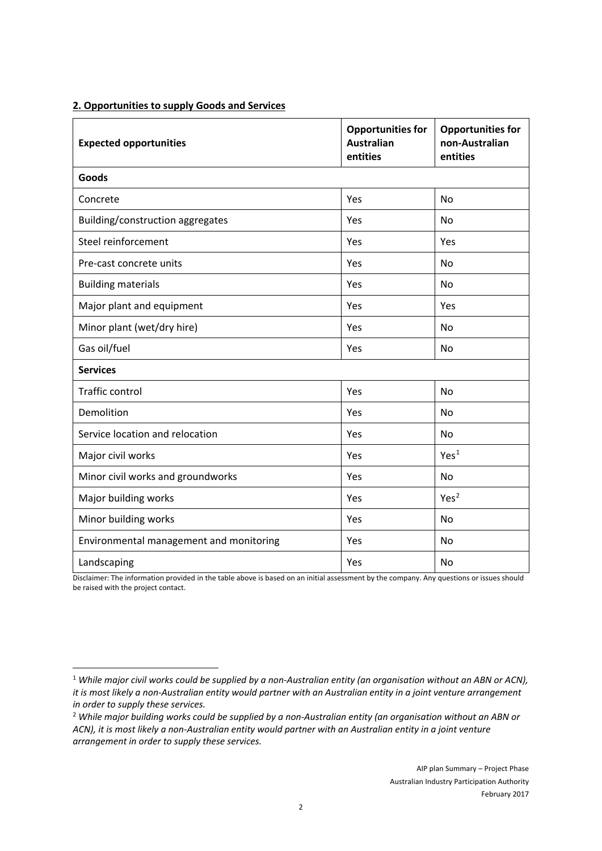#### **2. Opportunities to supply Goods and Services**

| <b>Expected opportunities</b>           | <b>Opportunities for</b><br><b>Australian</b><br>entities | <b>Opportunities for</b><br>non-Australian<br>entities |
|-----------------------------------------|-----------------------------------------------------------|--------------------------------------------------------|
| Goods                                   |                                                           |                                                        |
| Concrete                                | Yes                                                       | No                                                     |
| Building/construction aggregates        | Yes                                                       | <b>No</b>                                              |
| Steel reinforcement                     | Yes                                                       | Yes                                                    |
| Pre-cast concrete units                 | Yes                                                       | <b>No</b>                                              |
| <b>Building materials</b>               | Yes                                                       | <b>No</b>                                              |
| Major plant and equipment               | Yes                                                       | Yes                                                    |
| Minor plant (wet/dry hire)              | Yes                                                       | <b>No</b>                                              |
| Gas oil/fuel                            | Yes                                                       | No                                                     |
| <b>Services</b>                         |                                                           |                                                        |
| Traffic control                         | Yes                                                       | No                                                     |
| Demolition                              | Yes                                                       | No                                                     |
| Service location and relocation         | Yes                                                       | No                                                     |
| Major civil works                       | Yes                                                       | Yes <sup>1</sup>                                       |
| Minor civil works and groundworks       | Yes                                                       | No                                                     |
| Major building works                    | Yes                                                       | Yes <sup>2</sup>                                       |
| Minor building works                    | Yes                                                       | No                                                     |
| Environmental management and monitoring | Yes                                                       | No                                                     |
| Landscaping                             | Yes                                                       | No                                                     |

Disclaimer: The information provided in the table above is based on an initial assessment by the company. Any questions or issues should be raised with the project contact.

<span id="page-1-0"></span><sup>1</sup> *While major civil works could be supplied by a non-Australian entity (an organisation without an ABN or ACN), it is most likely a non-Australian entity would partner with an Australian entity in a joint venture arrangement in order to supply these services.*

<span id="page-1-1"></span><sup>2</sup> *While major building works could be supplied by a non-Australian entity (an organisation without an ABN or ACN), it is most likely a non-Australian entity would partner with an Australian entity in a joint venture arrangement in order to supply these services.*